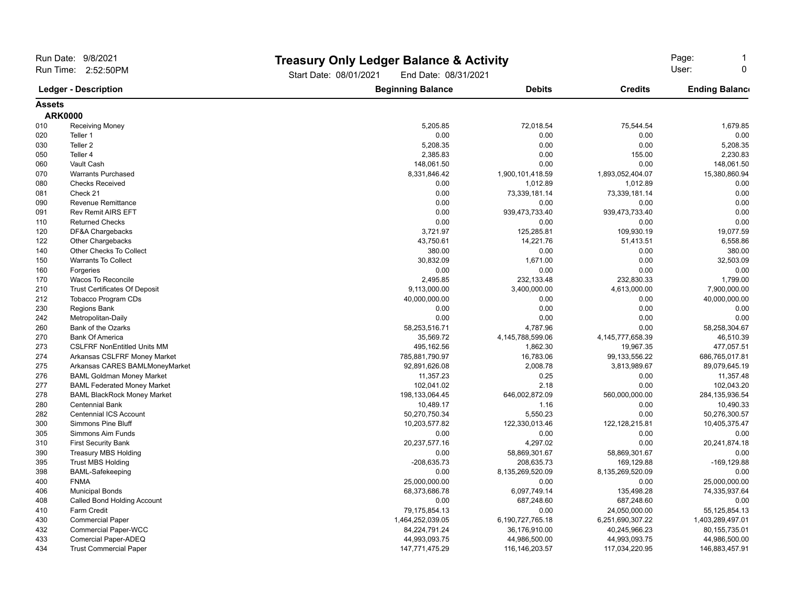| Run Date: 9/8/2021                                 |                                      | <b>Treasury Only Ledger Balance &amp; Activity</b> |                      | Page:                |                       |
|----------------------------------------------------|--------------------------------------|----------------------------------------------------|----------------------|----------------------|-----------------------|
| Run Time: 2:52:50PM<br><b>Ledger - Description</b> |                                      | Start Date: 08/01/2021                             | End Date: 08/31/2021 |                      |                       |
|                                                    |                                      | <b>Beginning Balance</b>                           | <b>Debits</b>        | <b>Credits</b>       | <b>Ending Balance</b> |
| <b>Assets</b>                                      |                                      |                                                    |                      |                      |                       |
| <b>ARK0000</b>                                     |                                      |                                                    |                      |                      |                       |
| 010                                                | <b>Receiving Money</b>               | 5,205.85                                           | 72,018.54            | 75,544.54            | 1,679.85              |
| 020                                                | Teller 1                             | 0.00                                               | 0.00                 | 0.00                 | 0.00                  |
| 030                                                | Teller <sub>2</sub>                  | 5,208.35                                           | 0.00                 | 0.00                 | 5,208.35              |
| 050                                                | Teller 4                             | 2,385.83                                           | 0.00                 | 155.00               | 2,230.83              |
| 060                                                | Vault Cash                           | 148,061.50                                         | 0.00                 | 0.00                 | 148,061.50            |
| 070                                                | <b>Warrants Purchased</b>            | 8,331,846.42                                       | 1,900,101,418.59     | 1,893,052,404.07     | 15,380,860.94         |
| 080                                                | <b>Checks Received</b>               | 0.00                                               | 1,012.89             | 1,012.89             | 0.00                  |
| 081                                                | Check 21                             | 0.00                                               | 73,339,181.14        | 73,339,181.14        | 0.00                  |
| 090                                                | <b>Revenue Remittance</b>            | 0.00                                               | 0.00                 | 0.00                 | 0.00                  |
| 091                                                | <b>Rev Remit AIRS EFT</b>            | 0.00                                               | 939,473,733.40       | 939,473,733.40       | 0.00                  |
| 110                                                | <b>Returned Checks</b>               | 0.00                                               | 0.00                 | 0.00                 | 0.00                  |
| 120                                                | DF&A Chargebacks                     | 3,721.97                                           | 125,285.81           | 109,930.19           | 19,077.59             |
| 122                                                | <b>Other Chargebacks</b>             | 43,750.61                                          | 14,221.76            | 51,413.51            | 6,558.86              |
| 140                                                | Other Checks To Collect              | 380.00                                             | 0.00                 | 0.00                 | 380.00                |
| 150                                                | <b>Warrants To Collect</b>           | 30,832.09                                          | 1,671.00             | 0.00                 | 32,503.09             |
| 160                                                | Forgeries                            | 0.00                                               | 0.00                 | 0.00                 | 0.00                  |
| 170                                                | Wacos To Reconcile                   | 2,495.85                                           | 232,133.48           | 232,830.33           | 1,799.00              |
| 210                                                | <b>Trust Certificates Of Deposit</b> | 9,113,000.00                                       | 3,400,000.00         | 4,613,000.00         | 7,900,000.00          |
| 212                                                | Tobacco Program CDs                  | 40,000,000.00                                      | 0.00                 | 0.00                 | 40,000,000.00         |
| 230                                                | <b>Regions Bank</b>                  | 0.00                                               | 0.00                 | 0.00                 | 0.00                  |
| 242                                                | Metropolitan-Daily                   | 0.00                                               | 0.00                 | 0.00                 | 0.00                  |
| 260                                                | Bank of the Ozarks                   | 58,253,516.71                                      | 4,787.96             | 0.00                 | 58,258,304.67         |
| 270                                                | <b>Bank Of America</b>               | 35,569.72                                          | 4,145,788,599.06     | 4, 145, 777, 658. 39 | 46,510.39             |
| 273                                                | <b>CSLFRF NonEntitled Units MM</b>   | 495,162.56                                         | 1,862.30             | 19,967.35            | 477,057.51            |
| 274                                                | Arkansas CSLFRF Money Market         | 785,881,790.97                                     | 16,783.06            | 99, 133, 556. 22     | 686,765,017.81        |
| 275                                                | Arkansas CARES BAMLMoneyMarket       | 92,891,626.08                                      | 2,008.78             | 3,813,989.67         | 89,079,645.19         |
| 276                                                | <b>BAML Goldman Money Market</b>     | 11,357.23                                          | 0.25                 | 0.00                 | 11,357.48             |
| 277                                                | <b>BAML Federated Money Market</b>   | 102,041.02                                         | 2.18                 | 0.00                 | 102,043.20            |
| 278                                                | <b>BAML BlackRock Money Market</b>   | 198, 133, 064. 45                                  | 646,002,872.09       | 560,000,000.00       | 284,135,936.54        |
| 280                                                | <b>Centennial Bank</b>               | 10,489.17                                          | 1.16                 | 0.00                 | 10,490.33             |
| 282                                                | <b>Centennial ICS Account</b>        | 50,270,750.34                                      | 5,550.23             | 0.00                 | 50,276,300.57         |
| 300                                                | <b>Simmons Pine Bluff</b>            | 10,203,577.82                                      | 122,330,013.46       | 122, 128, 215.81     | 10,405,375.47         |
| 305                                                | Simmons Aim Funds                    | 0.00                                               | 0.00                 | 0.00                 | 0.00                  |
| 310                                                | <b>First Security Bank</b>           | 20,237,577.16                                      | 4,297.02             | 0.00                 | 20,241,874.18         |
| 390                                                | <b>Treasury MBS Holding</b>          | 0.00                                               | 58,869,301.67        | 58,869,301.67        | 0.00                  |
| 395                                                | <b>Trust MBS Holding</b>             | $-208,635.73$                                      | 208,635.73           | 169,129.88           | $-169, 129.88$        |
| 398                                                | <b>BAML-Safekeeping</b>              | 0.00                                               | 8,135,269,520.09     | 8,135,269,520.09     | 0.00                  |
| 400                                                | <b>FNMA</b>                          | 25,000,000.00                                      | 0.00                 | 0.00                 | 25,000,000.00         |
| 406                                                | <b>Municipal Bonds</b>               | 68,373,686.78                                      | 6,097,749.14         | 135,498.28           | 74,335,937.64         |
| 408                                                | Called Bond Holding Account          | 0.00                                               | 687,248.60           | 687,248.60           | 0.00                  |
| 410                                                | Farm Credit                          | 79,175,854.13                                      | 0.00                 | 24,050,000.00        | 55, 125, 854. 13      |
| 430                                                | <b>Commercial Paper</b>              | 1,464,252,039.05                                   | 6,190,727,765.18     | 6,251,690,307.22     | 1,403,289,497.01      |
| 432                                                | <b>Commercial Paper-WCC</b>          | 84,224,791.24                                      | 36,176,910.00        | 40,245,966.23        | 80, 155, 735.01       |
| 433                                                | Comercial Paper-ADEQ                 | 44,993,093.75                                      | 44,986,500.00        | 44,993,093.75        | 44,986,500.00         |
| 434                                                | <b>Trust Commercial Paper</b>        | 147,771,475.29                                     | 116, 146, 203. 57    | 117,034,220.95       | 146,883,457.91        |